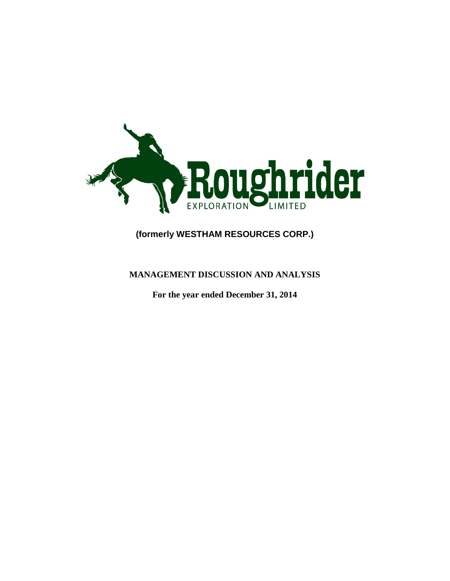

# **(formerly WESTHAM RESOURCES CORP.)**

## **MANAGEMENT DISCUSSION AND ANALYSIS**

**For the year ended December 31, 2014**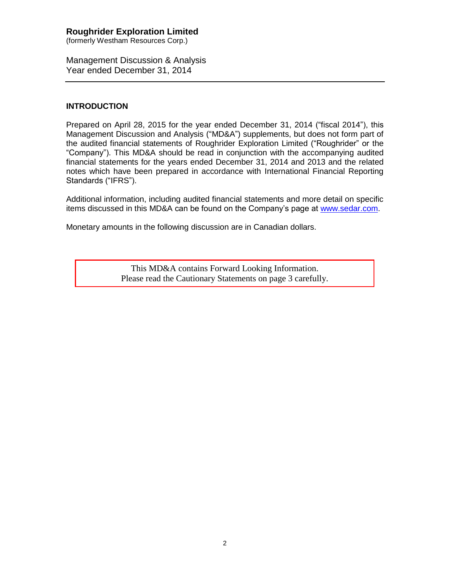(formerly Westham Resources Corp.)

Management Discussion & Analysis Year ended December 31, 2014

## **INTRODUCTION**

Prepared on April 28, 2015 for the year ended December 31, 2014 ("fiscal 2014"), this Management Discussion and Analysis ("MD&A") supplements, but does not form part of the audited financial statements of Roughrider Exploration Limited ("Roughrider" or the "Company"). This MD&A should be read in conjunction with the accompanying audited financial statements for the years ended December 31, 2014 and 2013 and the related notes which have been prepared in accordance with International Financial Reporting Standards ("IFRS").

Additional information, including audited financial statements and more detail on specific items discussed in this MD&A can be found on the Company's page at [www.sedar.com.](http://www.sedar.com/)

Monetary amounts in the following discussion are in Canadian dollars.

This MD&A contains Forward Looking Information. Please read the Cautionary Statements on page 3 carefully.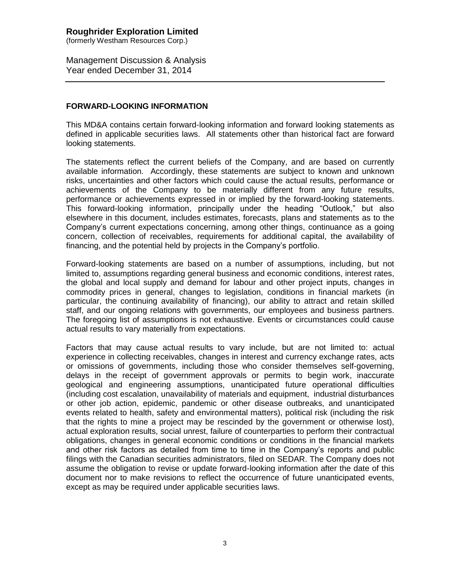(formerly Westham Resources Corp.)

Management Discussion & Analysis Year ended December 31, 2014

### **FORWARD-LOOKING INFORMATION**

This MD&A contains certain forward-looking information and forward looking statements as defined in applicable securities laws. All statements other than historical fact are forward looking statements.

The statements reflect the current beliefs of the Company, and are based on currently available information. Accordingly, these statements are subject to known and unknown risks, uncertainties and other factors which could cause the actual results, performance or achievements of the Company to be materially different from any future results, performance or achievements expressed in or implied by the forward-looking statements. This forward-looking information, principally under the heading "Outlook," but also elsewhere in this document, includes estimates, forecasts, plans and statements as to the Company's current expectations concerning, among other things, continuance as a going concern, collection of receivables, requirements for additional capital, the availability of financing, and the potential held by projects in the Company's portfolio.

Forward-looking statements are based on a number of assumptions, including, but not limited to, assumptions regarding general business and economic conditions, interest rates, the global and local supply and demand for labour and other project inputs, changes in commodity prices in general, changes to legislation, conditions in financial markets (in particular, the continuing availability of financing), our ability to attract and retain skilled staff, and our ongoing relations with governments, our employees and business partners. The foregoing list of assumptions is not exhaustive. Events or circumstances could cause actual results to vary materially from expectations.

Factors that may cause actual results to vary include, but are not limited to: actual experience in collecting receivables, changes in interest and currency exchange rates, acts or omissions of governments, including those who consider themselves self-governing, delays in the receipt of government approvals or permits to begin work, inaccurate geological and engineering assumptions, unanticipated future operational difficulties (including cost escalation, unavailability of materials and equipment, industrial disturbances or other job action, epidemic, pandemic or other disease outbreaks, and unanticipated events related to health, safety and environmental matters), political risk (including the risk that the rights to mine a project may be rescinded by the government or otherwise lost), actual exploration results, social unrest, failure of counterparties to perform their contractual obligations, changes in general economic conditions or conditions in the financial markets and other risk factors as detailed from time to time in the Company's reports and public filings with the Canadian securities administrators, filed on SEDAR. The Company does not assume the obligation to revise or update forward-looking information after the date of this document nor to make revisions to reflect the occurrence of future unanticipated events, except as may be required under applicable securities laws.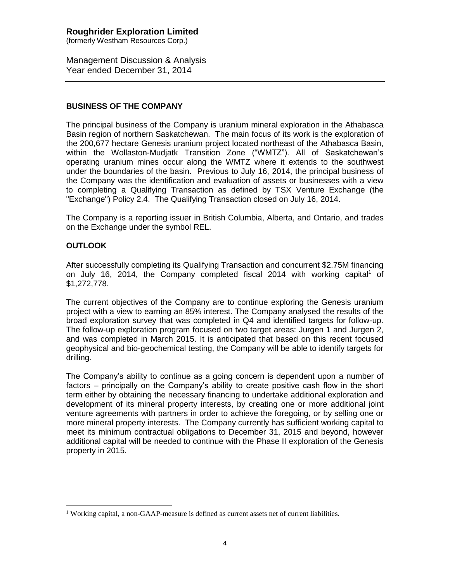(formerly Westham Resources Corp.)

Management Discussion & Analysis Year ended December 31, 2014

### **BUSINESS OF THE COMPANY**

The principal business of the Company is uranium mineral exploration in the Athabasca Basin region of northern Saskatchewan. The main focus of its work is the exploration of the 200,677 hectare Genesis uranium project located northeast of the Athabasca Basin, within the Wollaston-Mudjatk Transition Zone ("WMTZ"). All of Saskatchewan's operating uranium mines occur along the WMTZ where it extends to the southwest under the boundaries of the basin. Previous to July 16, 2014, the principal business of the Company was the identification and evaluation of assets or businesses with a view to completing a Qualifying Transaction as defined by TSX Venture Exchange (the "Exchange") Policy 2.4. The Qualifying Transaction closed on July 16, 2014.

The Company is a reporting issuer in British Columbia, Alberta, and Ontario, and trades on the Exchange under the symbol REL.

### **OUTLOOK**

 $\overline{a}$ 

After successfully completing its Qualifying Transaction and concurrent \$2.75M financing on July 16, 2014, the Company completed fiscal 2014 with working capital<sup>1</sup> of \$1,272,778.

The current objectives of the Company are to continue exploring the Genesis uranium project with a view to earning an 85% interest. The Company analysed the results of the broad exploration survey that was completed in Q4 and identified targets for follow-up. The follow-up exploration program focused on two target areas: Jurgen 1 and Jurgen 2, and was completed in March 2015. It is anticipated that based on this recent focused geophysical and bio-geochemical testing, the Company will be able to identify targets for drilling.

The Company's ability to continue as a going concern is dependent upon a number of factors – principally on the Company's ability to create positive cash flow in the short term either by obtaining the necessary financing to undertake additional exploration and development of its mineral property interests, by creating one or more additional joint venture agreements with partners in order to achieve the foregoing, or by selling one or more mineral property interests. The Company currently has sufficient working capital to meet its minimum contractual obligations to December 31, 2015 and beyond, however additional capital will be needed to continue with the Phase II exploration of the Genesis property in 2015.

<sup>&</sup>lt;sup>1</sup> Working capital, a non-GAAP-measure is defined as current assets net of current liabilities.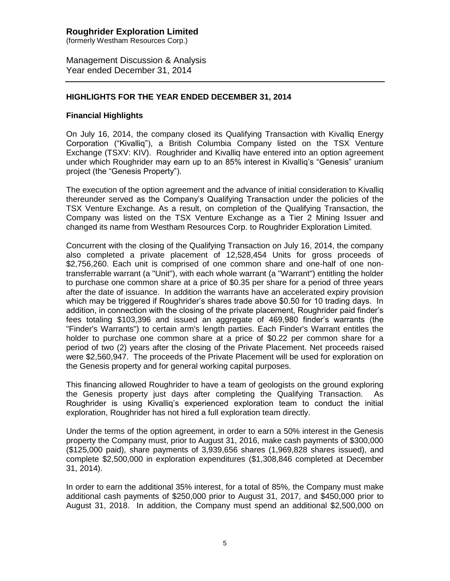(formerly Westham Resources Corp.)

Management Discussion & Analysis Year ended December 31, 2014

## **HIGHLIGHTS FOR THE YEAR ENDED DECEMBER 31, 2014**

### **Financial Highlights**

On July 16, 2014, the company closed its Qualifying Transaction with Kivalliq Energy Corporation ("Kivalliq"), a British Columbia Company listed on the TSX Venture Exchange (TSXV: KIV). Roughrider and Kivalliq have entered into an option agreement under which Roughrider may earn up to an 85% interest in Kivalliq's "Genesis" uranium project (the "Genesis Property").

The execution of the option agreement and the advance of initial consideration to Kivalliq thereunder served as the Company's Qualifying Transaction under the policies of the TSX Venture Exchange. As a result, on completion of the Qualifying Transaction, the Company was listed on the TSX Venture Exchange as a Tier 2 Mining Issuer and changed its name from Westham Resources Corp. to Roughrider Exploration Limited.

Concurrent with the closing of the Qualifying Transaction on July 16, 2014, the company also completed a private placement of 12,528,454 Units for gross proceeds of \$2,756,260. Each unit is comprised of one common share and one-half of one nontransferrable warrant (a "Unit"), with each whole warrant (a "Warrant") entitling the holder to purchase one common share at a price of \$0.35 per share for a period of three years after the date of issuance. In addition the warrants have an accelerated expiry provision which may be triggered if Roughrider's shares trade above \$0.50 for 10 trading days. In addition, in connection with the closing of the private placement, Roughrider paid finder's fees totaling \$103,396 and issued an aggregate of 469,980 finder's warrants (the "Finder's Warrants") to certain arm's length parties. Each Finder's Warrant entitles the holder to purchase one common share at a price of \$0.22 per common share for a period of two (2) years after the closing of the Private Placement. Net proceeds raised were \$2,560,947. The proceeds of the Private Placement will be used for exploration on the Genesis property and for general working capital purposes.

This financing allowed Roughrider to have a team of geologists on the ground exploring the Genesis property just days after completing the Qualifying Transaction. As Roughrider is using Kivalliq's experienced exploration team to conduct the initial exploration, Roughrider has not hired a full exploration team directly.

Under the terms of the option agreement, in order to earn a 50% interest in the Genesis property the Company must, prior to August 31, 2016, make cash payments of \$300,000 (\$125,000 paid), share payments of 3,939,656 shares (1,969,828 shares issued), and complete \$2,500,000 in exploration expenditures (\$1,308,846 completed at December 31, 2014).

In order to earn the additional 35% interest, for a total of 85%, the Company must make additional cash payments of \$250,000 prior to August 31, 2017, and \$450,000 prior to August 31, 2018. In addition, the Company must spend an additional \$2,500,000 on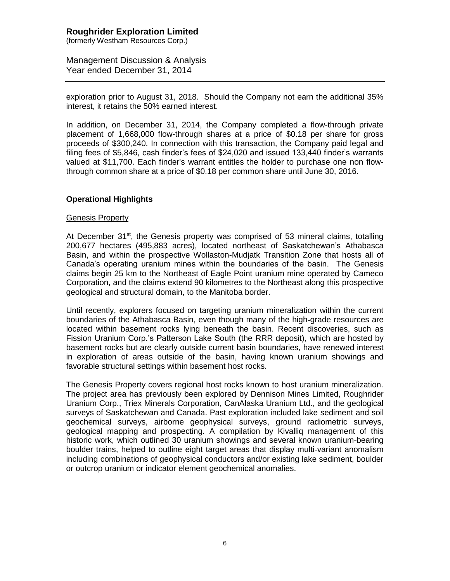(formerly Westham Resources Corp.)

Management Discussion & Analysis Year ended December 31, 2014

exploration prior to August 31, 2018. Should the Company not earn the additional 35% interest, it retains the 50% earned interest.

In addition, on December 31, 2014, the Company completed a flow-through private placement of 1,668,000 flow-through shares at a price of \$0.18 per share for gross proceeds of \$300,240. In connection with this transaction, the Company paid legal and filing fees of \$5,846, cash finder's fees of \$24,020 and issued 133,440 finder's warrants valued at \$11,700. Each finder's warrant entitles the holder to purchase one non flowthrough common share at a price of \$0.18 per common share until June 30, 2016.

### **Operational Highlights**

### Genesis Property

At December 31<sup>st</sup>, the Genesis property was comprised of 53 mineral claims, totalling 200,677 hectares (495,883 acres), located northeast of Saskatchewan's Athabasca Basin, and within the prospective Wollaston-Mudjatk Transition Zone that hosts all of Canada's operating uranium mines within the boundaries of the basin. The Genesis claims begin 25 km to the Northeast of Eagle Point uranium mine operated by Cameco Corporation, and the claims extend 90 kilometres to the Northeast along this prospective geological and structural domain, to the Manitoba border.

Until recently, explorers focused on targeting uranium mineralization within the current boundaries of the Athabasca Basin, even though many of the high-grade resources are located within basement rocks lying beneath the basin. Recent discoveries, such as Fission Uranium Corp.'s Patterson Lake South (the RRR deposit), which are hosted by basement rocks but are clearly outside current basin boundaries, have renewed interest in exploration of areas outside of the basin, having known uranium showings and favorable structural settings within basement host rocks.

The Genesis Property covers regional host rocks known to host uranium mineralization. The project area has previously been explored by Dennison Mines Limited, Roughrider Uranium Corp., Triex Minerals Corporation, CanAlaska Uranium Ltd., and the geological surveys of Saskatchewan and Canada. Past exploration included lake sediment and soil geochemical surveys, airborne geophysical surveys, ground radiometric surveys, geological mapping and prospecting. A compilation by Kivalliq management of this historic work, which outlined 30 uranium showings and several known uranium-bearing boulder trains, helped to outline eight target areas that display multi-variant anomalism including combinations of geophysical conductors and/or existing lake sediment, boulder or outcrop uranium or indicator element geochemical anomalies.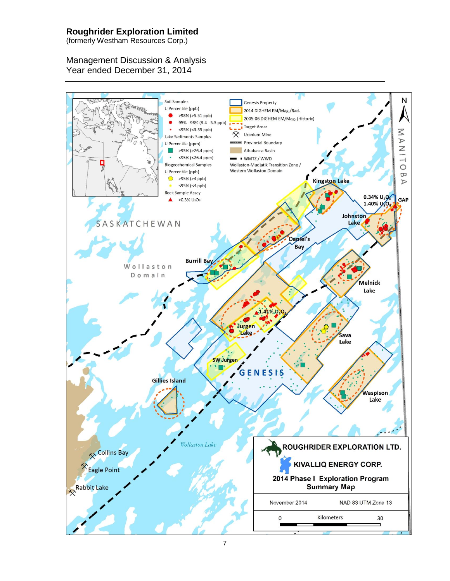(formerly Westham Resources Corp.)

# Management Discussion & Analysis Year ended December 31, 2014

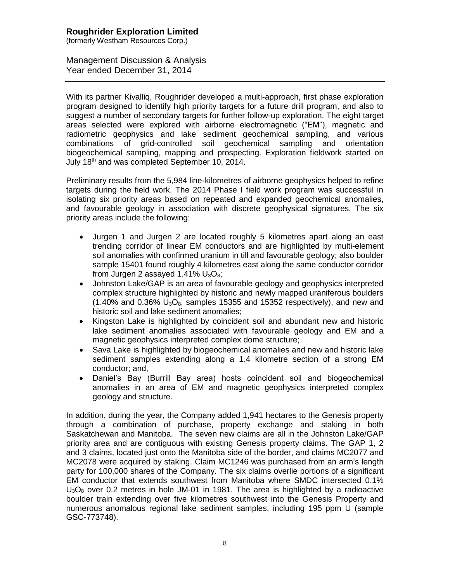(formerly Westham Resources Corp.)

Management Discussion & Analysis Year ended December 31, 2014

With its partner Kivalliq, Roughrider developed a multi-approach, first phase exploration program designed to identify high priority targets for a future drill program, and also to suggest a number of secondary targets for further follow-up exploration. The eight target areas selected were explored with airborne electromagnetic ("EM"), magnetic and radiometric geophysics and lake sediment geochemical sampling, and various combinations of grid-controlled soil geochemical sampling and orientation biogeochemical sampling, mapping and prospecting. Exploration fieldwork started on July 18<sup>th</sup> and was completed September 10, 2014.

Preliminary results from the 5,984 line-kilometres of airborne geophysics helped to refine targets during the field work. The 2014 Phase I field work program was successful in isolating six priority areas based on repeated and expanded geochemical anomalies, and favourable geology in association with discrete geophysical signatures. The six priority areas include the following:

- Jurgen 1 and Jurgen 2 are located roughly 5 kilometres apart along an east trending corridor of linear EM conductors and are highlighted by multi-element soil anomalies with confirmed uranium in till and favourable geology; also boulder sample 15401 found roughly 4 kilometres east along the same conductor corridor from Jurgen 2 assayed 1.41%  $U_3O_8$ ;
- Johnston Lake/GAP is an area of favourable geology and geophysics interpreted complex structure highlighted by historic and newly mapped uraniferous boulders  $(1.40\%$  and 0.36%  $U_3O_8$ ; samples 15355 and 15352 respectively), and new and historic soil and lake sediment anomalies;
- Kingston Lake is highlighted by coincident soil and abundant new and historic lake sediment anomalies associated with favourable geology and EM and a magnetic geophysics interpreted complex dome structure;
- Sava Lake is highlighted by biogeochemical anomalies and new and historic lake sediment samples extending along a 1.4 kilometre section of a strong EM conductor; and,
- Daniel's Bay (Burrill Bay area) hosts coincident soil and biogeochemical anomalies in an area of EM and magnetic geophysics interpreted complex geology and structure.

In addition, during the year, the Company added 1,941 hectares to the Genesis property through a combination of purchase, property exchange and staking in both Saskatchewan and Manitoba. The seven new claims are all in the Johnston Lake/GAP priority area and are contiguous with existing Genesis property claims. The GAP 1, 2 and 3 claims, located just onto the Manitoba side of the border, and claims MC2077 and MC2078 were acquired by staking. Claim MC1246 was purchased from an arm's length party for 100,000 shares of the Company. The six claims overlie portions of a significant EM conductor that extends southwest from Manitoba where SMDC intersected 0.1%  $U_3O_8$  over 0.2 metres in hole JM-01 in 1981. The area is highlighted by a radioactive boulder train extending over five kilometres southwest into the Genesis Property and numerous anomalous regional lake sediment samples, including 195 ppm U (sample GSC-773748).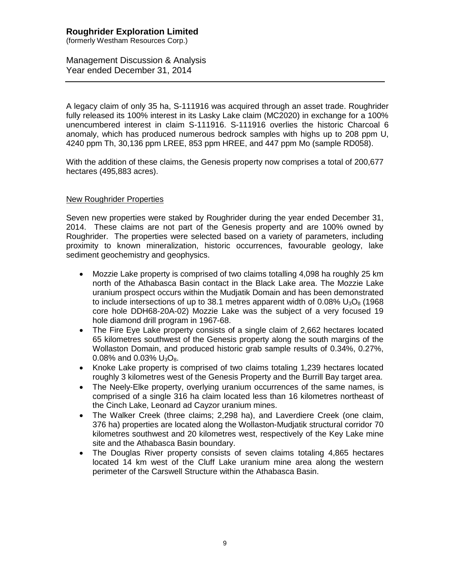(formerly Westham Resources Corp.)

Management Discussion & Analysis Year ended December 31, 2014

A legacy claim of only 35 ha, S-111916 was acquired through an asset trade. Roughrider fully released its 100% interest in its Lasky Lake claim (MC2020) in exchange for a 100% unencumbered interest in claim S-111916. S-111916 overlies the historic Charcoal 6 anomaly, which has produced numerous bedrock samples with highs up to 208 ppm U, 4240 ppm Th, 30,136 ppm LREE, 853 ppm HREE, and 447 ppm Mo (sample RD058).

With the addition of these claims, the Genesis property now comprises a total of 200,677 hectares (495,883 acres).

### New Roughrider Properties

Seven new properties were staked by Roughrider during the year ended December 31, 2014. These claims are not part of the Genesis property and are 100% owned by Roughrider. The properties were selected based on a variety of parameters, including proximity to known mineralization, historic occurrences, favourable geology, lake sediment geochemistry and geophysics.

- Mozzie Lake property is comprised of two claims totalling 4,098 ha roughly 25 km north of the Athabasca Basin contact in the Black Lake area. The Mozzie Lake uranium prospect occurs within the Mudjatik Domain and has been demonstrated to include intersections of up to 38.1 metres apparent width of 0.08%  $U_3O_8$  (1968) core hole DDH68-20A-02) Mozzie Lake was the subject of a very focused 19 hole diamond drill program in 1967-68.
- The Fire Eye Lake property consists of a single claim of 2,662 hectares located 65 kilometres southwest of the Genesis property along the south margins of the Wollaston Domain, and produced historic grab sample results of 0.34%, 0.27%, 0.08% and 0.03%  $U_3O_8$ .
- Knoke Lake property is comprised of two claims totaling 1,239 hectares located roughly 3 kilometres west of the Genesis Property and the Burrill Bay target area.
- The Neely-Elke property, overlying uranium occurrences of the same names, is comprised of a single 316 ha claim located less than 16 kilometres northeast of the Cinch Lake, Leonard ad Cayzor uranium mines.
- The Walker Creek (three claims; 2,298 ha), and Laverdiere Creek (one claim, 376 ha) properties are located along the Wollaston-Mudjatik structural corridor 70 kilometres southwest and 20 kilometres west, respectively of the Key Lake mine site and the Athabasca Basin boundary.
- The Douglas River property consists of seven claims totaling 4,865 hectares located 14 km west of the Cluff Lake uranium mine area along the western perimeter of the Carswell Structure within the Athabasca Basin.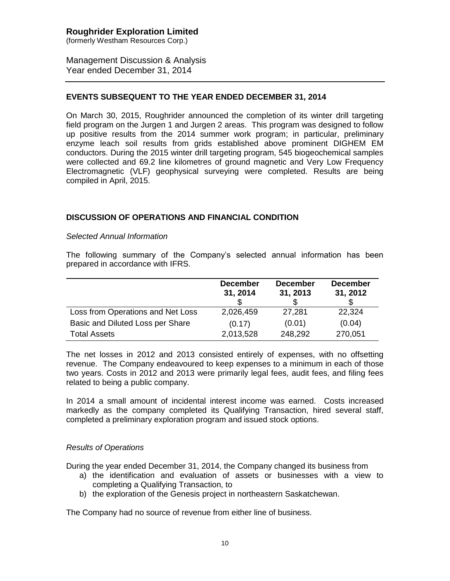(formerly Westham Resources Corp.)

Management Discussion & Analysis Year ended December 31, 2014

## **EVENTS SUBSEQUENT TO THE YEAR ENDED DECEMBER 31, 2014**

On March 30, 2015, Roughrider announced the completion of its winter drill targeting field program on the Jurgen 1 and Jurgen 2 areas. This program was designed to follow up positive results from the 2014 summer work program; in particular, preliminary enzyme leach soil results from grids established above prominent DIGHEM EM conductors. During the 2015 winter drill targeting program, 545 biogeochemical samples were collected and 69.2 line kilometres of ground magnetic and Very Low Frequency Electromagnetic (VLF) geophysical surveying were completed. Results are being compiled in April, 2015.

## **DISCUSSION OF OPERATIONS AND FINANCIAL CONDITION**

### *Selected Annual Information*

The following summary of the Company's selected annual information has been prepared in accordance with IFRS.

|                                   | <b>December</b><br>31, 2014 | <b>December</b><br>31, 2013 | <b>December</b><br>31, 2012 |
|-----------------------------------|-----------------------------|-----------------------------|-----------------------------|
| Loss from Operations and Net Loss | 2,026,459                   | 27,281                      | 22,324                      |
| Basic and Diluted Loss per Share  | (0.17)                      | (0.01)                      | (0.04)                      |
| <b>Total Assets</b>               | 2,013,528                   | 248,292                     | 270,051                     |

The net losses in 2012 and 2013 consisted entirely of expenses, with no offsetting revenue. The Company endeavoured to keep expenses to a minimum in each of those two years. Costs in 2012 and 2013 were primarily legal fees, audit fees, and filing fees related to being a public company.

In 2014 a small amount of incidental interest income was earned. Costs increased markedly as the company completed its Qualifying Transaction, hired several staff, completed a preliminary exploration program and issued stock options.

### *Results of Operations*

During the year ended December 31, 2014, the Company changed its business from

- a) the identification and evaluation of assets or businesses with a view to completing a Qualifying Transaction, to
- b) the exploration of the Genesis project in northeastern Saskatchewan.

The Company had no source of revenue from either line of business.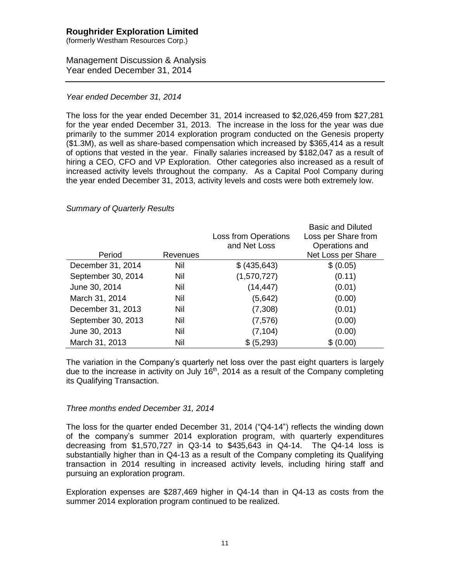(formerly Westham Resources Corp.)

## Management Discussion & Analysis Year ended December 31, 2014

### *Year ended December 31, 2014*

The loss for the year ended December 31, 2014 increased to \$2,026,459 from \$27,281 for the year ended December 31, 2013. The increase in the loss for the year was due primarily to the summer 2014 exploration program conducted on the Genesis property (\$1.3M), as well as share-based compensation which increased by \$365,414 as a result of options that vested in the year. Finally salaries increased by \$182,047 as a result of hiring a CEO, CFO and VP Exploration. Other categories also increased as a result of increased activity levels throughout the company. As a Capital Pool Company during the year ended December 31, 2013, activity levels and costs were both extremely low.

### *Summary of Quarterly Results*

|                    |          |                             | <b>Basic and Diluted</b> |
|--------------------|----------|-----------------------------|--------------------------|
|                    |          | <b>Loss from Operations</b> | Loss per Share from      |
|                    |          | and Net Loss                | Operations and           |
| Period             | Revenues |                             | Net Loss per Share       |
| December 31, 2014  | Nil      | \$ (435, 643)               | \$ (0.05)                |
| September 30, 2014 | Nil      | (1,570,727)                 | (0.11)                   |
| June 30, 2014      | Nil      | (14, 447)                   | (0.01)                   |
| March 31, 2014     | Nil      | (5,642)                     | (0.00)                   |
| December 31, 2013  | Nil      | (7,308)                     | (0.01)                   |
| September 30, 2013 | Nil      | (7, 576)                    | (0.00)                   |
| June 30, 2013      | Nil      | (7, 104)                    | (0.00)                   |
| March 31, 2013     | Nil      | \$ (5,293)                  | \$ (0.00)                |

The variation in the Company's quarterly net loss over the past eight quarters is largely due to the increase in activity on July  $16<sup>th</sup>$ , 2014 as a result of the Company completing its Qualifying Transaction.

### *Three months ended December 31, 2014*

The loss for the quarter ended December 31, 2014 ("Q4-14") reflects the winding down of the company's summer 2014 exploration program, with quarterly expenditures decreasing from \$1,570,727 in Q3-14 to \$435,643 in Q4-14. The Q4-14 loss is substantially higher than in Q4-13 as a result of the Company completing its Qualifying transaction in 2014 resulting in increased activity levels, including hiring staff and pursuing an exploration program.

Exploration expenses are \$287,469 higher in Q4-14 than in Q4-13 as costs from the summer 2014 exploration program continued to be realized.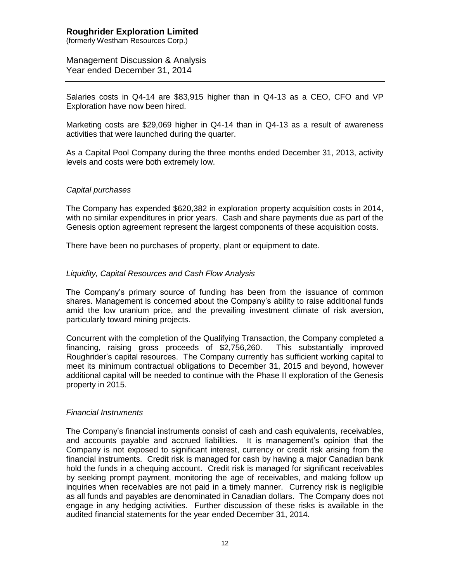(formerly Westham Resources Corp.)

Management Discussion & Analysis Year ended December 31, 2014

Salaries costs in Q4-14 are \$83,915 higher than in Q4-13 as a CEO, CFO and VP Exploration have now been hired.

Marketing costs are \$29,069 higher in Q4-14 than in Q4-13 as a result of awareness activities that were launched during the quarter.

As a Capital Pool Company during the three months ended December 31, 2013, activity levels and costs were both extremely low.

### *Capital purchases*

The Company has expended \$620,382 in exploration property acquisition costs in 2014, with no similar expenditures in prior years. Cash and share payments due as part of the Genesis option agreement represent the largest components of these acquisition costs.

There have been no purchases of property, plant or equipment to date.

### *Liquidity, Capital Resources and Cash Flow Analysis*

The Company's primary source of funding has been from the issuance of common shares. Management is concerned about the Company's ability to raise additional funds amid the low uranium price, and the prevailing investment climate of risk aversion, particularly toward mining projects.

Concurrent with the completion of the Qualifying Transaction, the Company completed a financing, raising gross proceeds of \$2,756,260. This substantially improved Roughrider's capital resources. The Company currently has sufficient working capital to meet its minimum contractual obligations to December 31, 2015 and beyond, however additional capital will be needed to continue with the Phase II exploration of the Genesis property in 2015.

### *Financial Instruments*

The Company's financial instruments consist of cash and cash equivalents, receivables, and accounts payable and accrued liabilities. It is management's opinion that the Company is not exposed to significant interest, currency or credit risk arising from the financial instruments. Credit risk is managed for cash by having a major Canadian bank hold the funds in a chequing account. Credit risk is managed for significant receivables by seeking prompt payment, monitoring the age of receivables, and making follow up inquiries when receivables are not paid in a timely manner. Currency risk is negligible as all funds and payables are denominated in Canadian dollars. The Company does not engage in any hedging activities. Further discussion of these risks is available in the audited financial statements for the year ended December 31, 2014.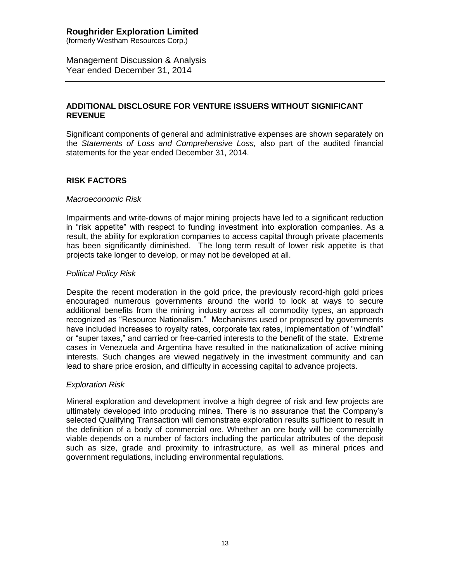(formerly Westham Resources Corp.)

Management Discussion & Analysis Year ended December 31, 2014

## **ADDITIONAL DISCLOSURE FOR VENTURE ISSUERS WITHOUT SIGNIFICANT REVENUE**

Significant components of general and administrative expenses are shown separately on the *Statements of Loss and Comprehensive Loss,* also part of the audited financial statements for the year ended December 31, 2014.

## **RISK FACTORS**

### *Macroeconomic Risk*

Impairments and write-downs of major mining projects have led to a significant reduction in "risk appetite" with respect to funding investment into exploration companies. As a result, the ability for exploration companies to access capital through private placements has been significantly diminished. The long term result of lower risk appetite is that projects take longer to develop, or may not be developed at all.

### *Political Policy Risk*

Despite the recent moderation in the gold price, the previously record-high gold prices encouraged numerous governments around the world to look at ways to secure additional benefits from the mining industry across all commodity types, an approach recognized as "Resource Nationalism." Mechanisms used or proposed by governments have included increases to royalty rates, corporate tax rates, implementation of "windfall" or "super taxes," and carried or free-carried interests to the benefit of the state. Extreme cases in Venezuela and Argentina have resulted in the nationalization of active mining interests. Such changes are viewed negatively in the investment community and can lead to share price erosion, and difficulty in accessing capital to advance projects.

## *Exploration Risk*

Mineral exploration and development involve a high degree of risk and few projects are ultimately developed into producing mines. There is no assurance that the Company's selected Qualifying Transaction will demonstrate exploration results sufficient to result in the definition of a body of commercial ore. Whether an ore body will be commercially viable depends on a number of factors including the particular attributes of the deposit such as size, grade and proximity to infrastructure, as well as mineral prices and government regulations, including environmental regulations.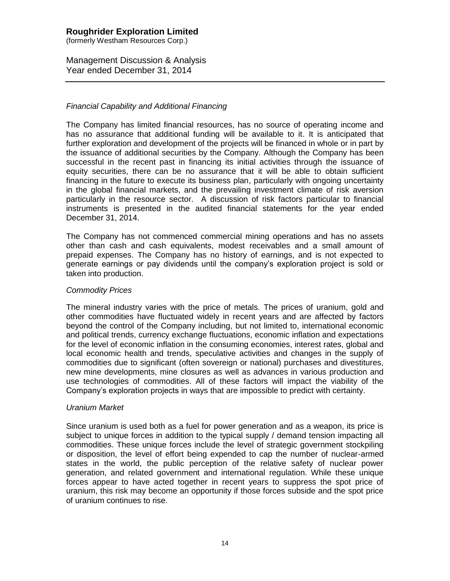(formerly Westham Resources Corp.)

Management Discussion & Analysis Year ended December 31, 2014

## *Financial Capability and Additional Financing*

The Company has limited financial resources, has no source of operating income and has no assurance that additional funding will be available to it. It is anticipated that further exploration and development of the projects will be financed in whole or in part by the issuance of additional securities by the Company. Although the Company has been successful in the recent past in financing its initial activities through the issuance of equity securities, there can be no assurance that it will be able to obtain sufficient financing in the future to execute its business plan, particularly with ongoing uncertainty in the global financial markets, and the prevailing investment climate of risk aversion particularly in the resource sector. A discussion of risk factors particular to financial instruments is presented in the audited financial statements for the year ended December 31, 2014.

The Company has not commenced commercial mining operations and has no assets other than cash and cash equivalents, modest receivables and a small amount of prepaid expenses. The Company has no history of earnings, and is not expected to generate earnings or pay dividends until the company's exploration project is sold or taken into production.

### *Commodity Prices*

The mineral industry varies with the price of metals. The prices of uranium, gold and other commodities have fluctuated widely in recent years and are affected by factors beyond the control of the Company including, but not limited to, international economic and political trends, currency exchange fluctuations, economic inflation and expectations for the level of economic inflation in the consuming economies, interest rates, global and local economic health and trends, speculative activities and changes in the supply of commodities due to significant (often sovereign or national) purchases and divestitures, new mine developments, mine closures as well as advances in various production and use technologies of commodities. All of these factors will impact the viability of the Company's exploration projects in ways that are impossible to predict with certainty.

### *Uranium Market*

Since uranium is used both as a fuel for power generation and as a weapon, its price is subject to unique forces in addition to the typical supply / demand tension impacting all commodities. These unique forces include the level of strategic government stockpiling or disposition, the level of effort being expended to cap the number of nuclear-armed states in the world, the public perception of the relative safety of nuclear power generation, and related government and international regulation. While these unique forces appear to have acted together in recent years to suppress the spot price of uranium, this risk may become an opportunity if those forces subside and the spot price of uranium continues to rise.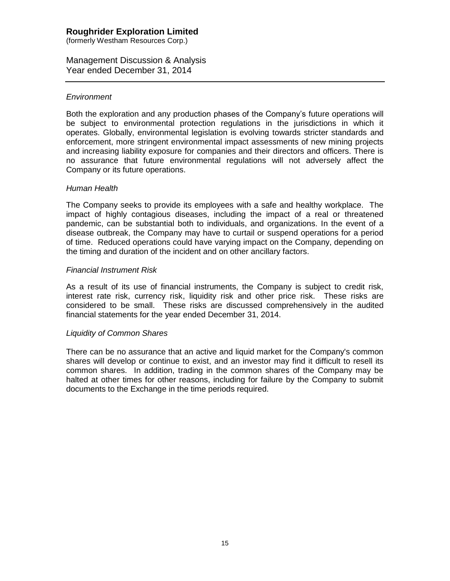(formerly Westham Resources Corp.)

Management Discussion & Analysis Year ended December 31, 2014

### *Environment*

Both the exploration and any production phases of the Company's future operations will be subject to environmental protection regulations in the jurisdictions in which it operates. Globally, environmental legislation is evolving towards stricter standards and enforcement, more stringent environmental impact assessments of new mining projects and increasing liability exposure for companies and their directors and officers. There is no assurance that future environmental regulations will not adversely affect the Company or its future operations.

### *Human Health*

The Company seeks to provide its employees with a safe and healthy workplace. The impact of highly contagious diseases, including the impact of a real or threatened pandemic, can be substantial both to individuals, and organizations. In the event of a disease outbreak, the Company may have to curtail or suspend operations for a period of time. Reduced operations could have varying impact on the Company, depending on the timing and duration of the incident and on other ancillary factors.

### *Financial Instrument Risk*

As a result of its use of financial instruments, the Company is subject to credit risk, interest rate risk, currency risk, liquidity risk and other price risk. These risks are considered to be small. These risks are discussed comprehensively in the audited financial statements for the year ended December 31, 2014.

### *Liquidity of Common Shares*

There can be no assurance that an active and liquid market for the Company's common shares will develop or continue to exist, and an investor may find it difficult to resell its common shares. In addition, trading in the common shares of the Company may be halted at other times for other reasons, including for failure by the Company to submit documents to the Exchange in the time periods required.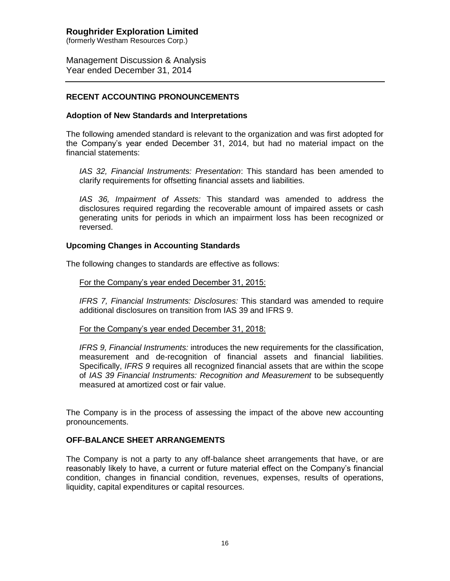(formerly Westham Resources Corp.)

Management Discussion & Analysis Year ended December 31, 2014

## **RECENT ACCOUNTING PRONOUNCEMENTS**

### **Adoption of New Standards and Interpretations**

The following amended standard is relevant to the organization and was first adopted for the Company's year ended December 31, 2014, but had no material impact on the financial statements:

*IAS 32, Financial Instruments: Presentation*: This standard has been amended to clarify requirements for offsetting financial assets and liabilities.

*IAS 36, Impairment of Assets:* This standard was amended to address the disclosures required regarding the recoverable amount of impaired assets or cash generating units for periods in which an impairment loss has been recognized or reversed.

### **Upcoming Changes in Accounting Standards**

The following changes to standards are effective as follows:

### For the Company's year ended December 31, 2015:

*IFRS 7, Financial Instruments: Disclosures:* This standard was amended to require additional disclosures on transition from IAS 39 and IFRS 9.

### For the Company's year ended December 31, 2018:

*IFRS 9, Financial Instruments:* introduces the new requirements for the classification, measurement and de-recognition of financial assets and financial liabilities. Specifically, *IFRS 9* requires all recognized financial assets that are within the scope of *IAS 39 Financial Instruments: Recognition and Measurement* to be subsequently measured at amortized cost or fair value.

The Company is in the process of assessing the impact of the above new accounting pronouncements.

### **OFF-BALANCE SHEET ARRANGEMENTS**

The Company is not a party to any off-balance sheet arrangements that have, or are reasonably likely to have, a current or future material effect on the Company's financial condition, changes in financial condition, revenues, expenses, results of operations, liquidity, capital expenditures or capital resources.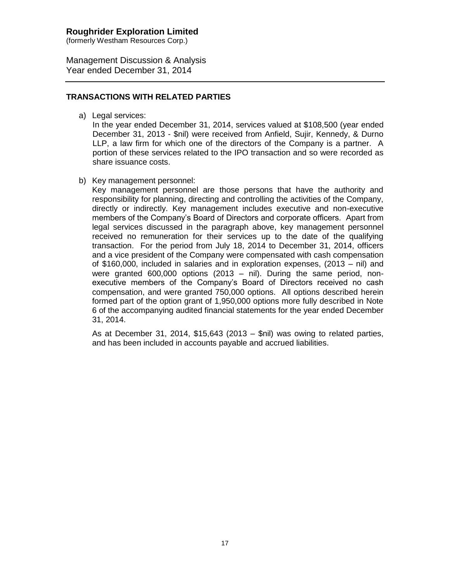(formerly Westham Resources Corp.)

Management Discussion & Analysis Year ended December 31, 2014

## **TRANSACTIONS WITH RELATED PARTIES**

a) Legal services:

In the year ended December 31, 2014, services valued at \$108,500 (year ended December 31, 2013 - \$nil) were received from Anfield, Sujir, Kennedy, & Durno LLP, a law firm for which one of the directors of the Company is a partner. A portion of these services related to the IPO transaction and so were recorded as share issuance costs.

b) Key management personnel:

Key management personnel are those persons that have the authority and responsibility for planning, directing and controlling the activities of the Company, directly or indirectly. Key management includes executive and non-executive members of the Company's Board of Directors and corporate officers. Apart from legal services discussed in the paragraph above, key management personnel received no remuneration for their services up to the date of the qualifying transaction. For the period from July 18, 2014 to December 31, 2014, officers and a vice president of the Company were compensated with cash compensation of \$160,000, included in salaries and in exploration expenses, (2013 – nil) and were granted 600,000 options (2013 – nil). During the same period, nonexecutive members of the Company's Board of Directors received no cash compensation, and were granted 750,000 options. All options described herein formed part of the option grant of 1,950,000 options more fully described in Note 6 of the accompanying audited financial statements for the year ended December 31, 2014.

As at December 31, 2014, \$15,643 (2013 – \$nil) was owing to related parties, and has been included in accounts payable and accrued liabilities.